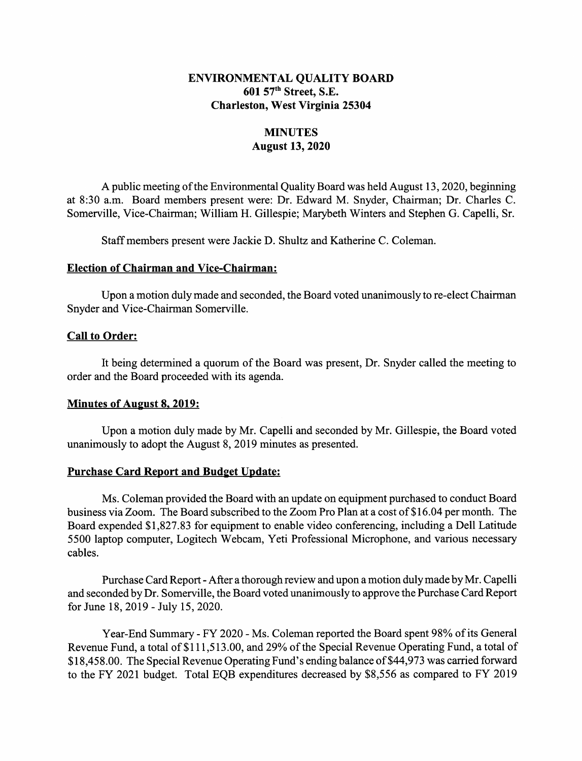### ENVIRONMENTAL QUALITY BOARD 601 57th Street, S.E. Charleston, West Virginia 25304

# **MINUTES** August 13, 2020

A public meeting of the Environmental Quality Board was held August 13, 2020, beginning at 8:30 a.m. Board members present were: Dr. Edward M. Snyder, Chairman; Dr. Charles C. Somerville, Vice-Chairman; William H. Gillespie; Marybeth Winters and Stephen G. Capelli, Sr.

Staff members present were Jackie D. Shultz and Katherine C. Coleman.

#### Election of Chairman and Vice-Chairman:

Upon a motion duly made and seconded, the Board voted unanimously to re-elect Chairman Snyder and Vice-Chairman Somerville.

### Call to Order:

It being determined a quorum of the Board was present, Dr. Snyder called the meeting to order and the Board proceeded with its agenda.

#### Minutes of August 8. 2019:

Upon a motion duly made by Mr. Capelli and seconded by Mr. Gillespie, the Board voted unanimously to adopt the August 8, 2019 minutes as presented.

## Purchase Card Report and Budget Update:

Ms. Coleman provided the Board with an update on equipment purchased to conduct Board business via Zoom. The Board subscribed to the Zoom Pro Plan at a cost of \$ 16.04 per month. The Board expended \$1,827.83 for equipment to enable video conferencing, including a Dell Latitude 5500 laptop computer, Logitech Webcam, Yeti Professional Microphone, and various necessary cables.

Purchase Card Report - After a thorough review and upon a motion duly made by Mr. Capelli and seconded by Dr. Somerville, the Board voted unanimously to approve the Purchase Card Report for June 18, 2019 -July 15, 2020.

Year-End Summary - FY 2020 - Ms. Coleman reported the Board spent 98% of its General Revenue Fund, a total of \$111,513.00, and 29% of the Special Revenue Operating Fund, a total of \$ 18,458.00. The Special Revenue Operating Fund's ending balance of \$44,973 was carried forward to the FY 2021 budget. Total EQB expenditures decreased by \$8,556 as compared to FY 2019